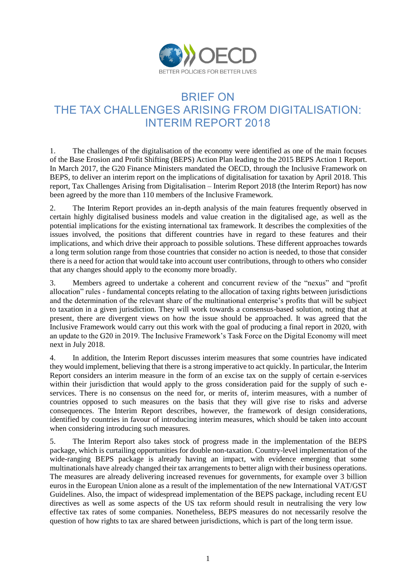

# BRIEF ON THE TAX CHALLENGES ARISING FROM DIGITALISATION: INTERIM REPORT 2018

1. The challenges of the digitalisation of the economy were identified as one of the main focuses of the Base Erosion and Profit Shifting (BEPS) Action Plan leading to the 2015 BEPS Action 1 Report. In March 2017, the G20 Finance Ministers mandated the OECD, through the Inclusive Framework on BEPS, to deliver an interim report on the implications of digitalisation for taxation by April 2018. This report, Tax Challenges Arising from Digitalisation – Interim Report 2018 (the Interim Report) has now been agreed by the more than 110 members of the Inclusive Framework.

2. The Interim Report provides an in-depth analysis of the main features frequently observed in certain highly digitalised business models and value creation in the digitalised age, as well as the potential implications for the existing international tax framework. It describes the complexities of the issues involved, the positions that different countries have in regard to these features and their implications, and which drive their approach to possible solutions. These different approaches towards a long term solution range from those countries that consider no action is needed, to those that consider there is a need for action that would take into account user contributions, through to others who consider that any changes should apply to the economy more broadly.

3. Members agreed to undertake a coherent and concurrent review of the "nexus" and "profit allocation" rules - fundamental concepts relating to the allocation of taxing rights between jurisdictions and the determination of the relevant share of the multinational enterprise's profits that will be subject to taxation in a given jurisdiction. They will work towards a consensus-based solution, noting that at present, there are divergent views on how the issue should be approached. It was agreed that the Inclusive Framework would carry out this work with the goal of producing a final report in 2020, with an update to the G20 in 2019. The Inclusive Framework's Task Force on the Digital Economy will meet next in July 2018.

4. In addition, the Interim Report discusses interim measures that some countries have indicated they would implement, believing that there is a strong imperative to act quickly. In particular, the Interim Report considers an interim measure in the form of an excise tax on the supply of certain e-services within their jurisdiction that would apply to the gross consideration paid for the supply of such eservices. There is no consensus on the need for, or merits of, interim measures, with a number of countries opposed to such measures on the basis that they will give rise to risks and adverse consequences. The Interim Report describes, however, the framework of design considerations, identified by countries in favour of introducing interim measures, which should be taken into account when considering introducing such measures.

5. The Interim Report also takes stock of progress made in the implementation of the BEPS package, which is curtailing opportunities for double non-taxation. Country-level implementation of the wide-ranging BEPS package is already having an impact, with evidence emerging that some multinationals have already changed their tax arrangements to better align with their business operations. The measures are already delivering increased revenues for governments, for example over 3 billion euros in the European Union alone as a result of the implementation of the new International VAT/GST Guidelines. Also, the impact of widespread implementation of the BEPS package, including recent EU directives as well as some aspects of the US tax reform should result in neutralising the very low effective tax rates of some companies. Nonetheless, BEPS measures do not necessarily resolve the question of how rights to tax are shared between jurisdictions, which is part of the long term issue.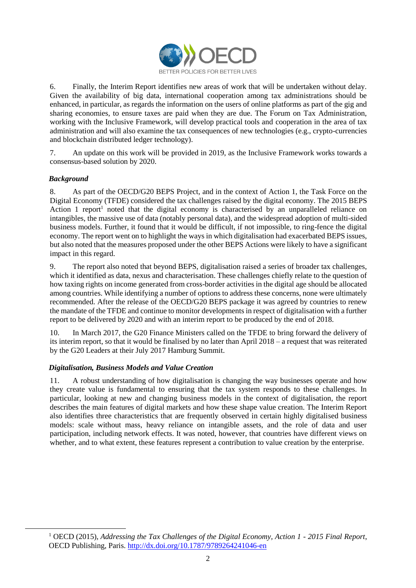

6. Finally, the Interim Report identifies new areas of work that will be undertaken without delay. Given the availability of big data, international cooperation among tax administrations should be enhanced, in particular, as regards the information on the users of online platforms as part of the gig and sharing economies, to ensure taxes are paid when they are due. The Forum on Tax Administration, working with the Inclusive Framework, will develop practical tools and cooperation in the area of tax administration and will also examine the tax consequences of new technologies (e.g., crypto-currencies and blockchain distributed ledger technology).

7. An update on this work will be provided in 2019, as the Inclusive Framework works towards a consensus-based solution by 2020.

## *Background*

-

8. As part of the OECD/G20 BEPS Project, and in the context of Action 1, the Task Force on the Digital Economy (TFDE) considered the tax challenges raised by the digital economy. The 2015 BEPS Action 1 report<sup>1</sup> noted that the digital economy is characterised by an unparalleled reliance on intangibles, the massive use of data (notably personal data), and the widespread adoption of multi-sided business models. Further, it found that it would be difficult, if not impossible, to ring-fence the digital economy. The report went on to highlight the ways in which digitalisation had exacerbated BEPS issues, but also noted that the measures proposed under the other BEPS Actions were likely to have a significant impact in this regard.

9. The report also noted that beyond BEPS, digitalisation raised a series of broader tax challenges, which it identified as data, nexus and characterisation. These challenges chiefly relate to the question of how taxing rights on income generated from cross-border activities in the digital age should be allocated among countries. While identifying a number of options to address these concerns, none were ultimately recommended. After the release of the OECD/G20 BEPS package it was agreed by countries to renew the mandate of the TFDE and continue to monitor developments in respect of digitalisation with a further report to be delivered by 2020 and with an interim report to be produced by the end of 2018.

10. In March 2017, the G20 Finance Ministers called on the TFDE to bring forward the delivery of its interim report, so that it would be finalised by no later than April 2018 – a request that was reiterated by the G20 Leaders at their July 2017 Hamburg Summit.

## *Digitalisation, Business Models and Value Creation*

11. A robust understanding of how digitalisation is changing the way businesses operate and how they create value is fundamental to ensuring that the tax system responds to these challenges. In particular, looking at new and changing business models in the context of digitalisation, the report describes the main features of digital markets and how these shape value creation. The Interim Report also identifies three characteristics that are frequently observed in certain highly digitalised business models: scale without mass, heavy reliance on intangible assets, and the role of data and user participation, including network effects. It was noted, however, that countries have different views on whether, and to what extent, these features represent a contribution to value creation by the enterprise.

<sup>1</sup> OECD (2015), *Addressing the Tax Challenges of the Digital Economy, Action 1 - 2015 Final Report*, OECD Publishing, Paris. <http://dx.doi.org/10.1787/9789264241046-en>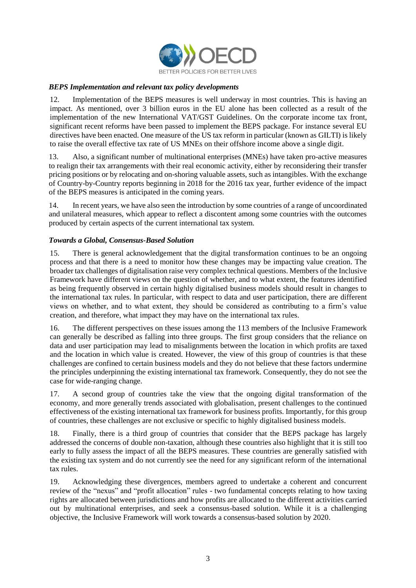

## *BEPS Implementation and relevant tax policy developments*

12. Implementation of the BEPS measures is well underway in most countries. This is having an impact. As mentioned, over 3 billion euros in the EU alone has been collected as a result of the implementation of the new International VAT/GST Guidelines. On the corporate income tax front, significant recent reforms have been passed to implement the BEPS package. For instance several EU directives have been enacted. One measure of the US tax reform in particular (known as GILTI) is likely to raise the overall effective tax rate of US MNEs on their offshore income above a single digit.

13. Also, a significant number of multinational enterprises (MNEs) have taken pro-active measures to realign their tax arrangements with their real economic activity, either by reconsidering their transfer pricing positions or by relocating and on-shoring valuable assets, such as intangibles. With the exchange of Country-by-Country reports beginning in 2018 for the 2016 tax year, further evidence of the impact of the BEPS measures is anticipated in the coming years.

14. In recent years, we have also seen the introduction by some countries of a range of uncoordinated and unilateral measures, which appear to reflect a discontent among some countries with the outcomes produced by certain aspects of the current international tax system.

#### *Towards a Global, Consensus-Based Solution*

15. There is general acknowledgement that the digital transformation continues to be an ongoing process and that there is a need to monitor how these changes may be impacting value creation. The broader tax challenges of digitalisation raise very complex technical questions. Members of the Inclusive Framework have different views on the question of whether, and to what extent, the features identified as being frequently observed in certain highly digitalised business models should result in changes to the international tax rules. In particular, with respect to data and user participation, there are different views on whether, and to what extent, they should be considered as contributing to a firm's value creation, and therefore, what impact they may have on the international tax rules.

16. The different perspectives on these issues among the 113 members of the Inclusive Framework can generally be described as falling into three groups. The first group considers that the reliance on data and user participation may lead to misalignments between the location in which profits are taxed and the location in which value is created. However, the view of this group of countries is that these challenges are confined to certain business models and they do not believe that these factors undermine the principles underpinning the existing international tax framework. Consequently, they do not see the case for wide-ranging change.

17. A second group of countries take the view that the ongoing digital transformation of the economy, and more generally trends associated with globalisation, present challenges to the continued effectiveness of the existing international tax framework for business profits. Importantly, for this group of countries, these challenges are not exclusive or specific to highly digitalised business models.

18. Finally, there is a third group of countries that consider that the BEPS package has largely addressed the concerns of double non-taxation, although these countries also highlight that it is still too early to fully assess the impact of all the BEPS measures. These countries are generally satisfied with the existing tax system and do not currently see the need for any significant reform of the international tax rules.

19. Acknowledging these divergences, members agreed to undertake a coherent and concurrent review of the "nexus" and "profit allocation" rules - two fundamental concepts relating to how taxing rights are allocated between jurisdictions and how profits are allocated to the different activities carried out by multinational enterprises, and seek a consensus-based solution. While it is a challenging objective, the Inclusive Framework will work towards a consensus-based solution by 2020.